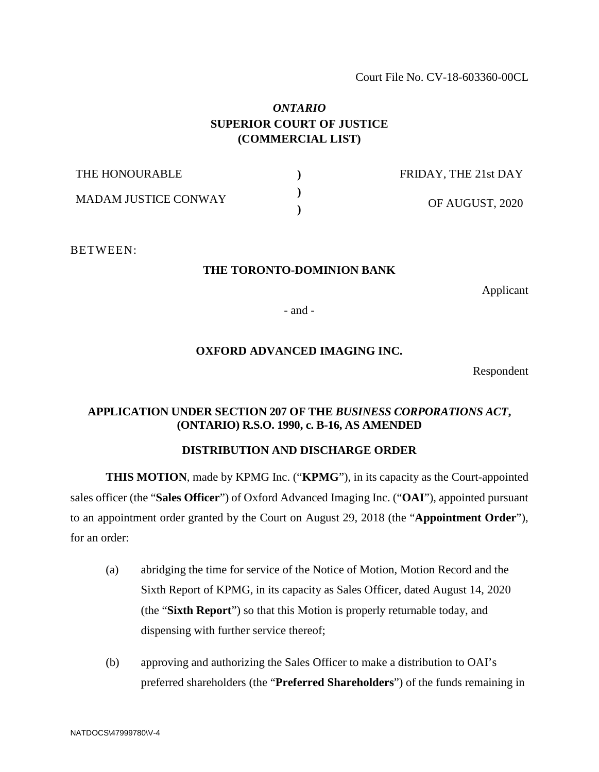#### Court File No. CV-18-603360-00CL

## *ONTARIO*  **SUPERIOR COURT OF JUSTICE (COMMERCIAL LIST)**

| THE HONOURABLE              | FRIDAY, THE 21st DAY |
|-----------------------------|----------------------|
| <b>MADAM JUSTICE CONWAY</b> | OF AUGUST, 2020      |

BETWEEN:

#### **THE TORONTO-DOMINION BANK**

Applicant

- and -

#### **OXFORD ADVANCED IMAGING INC.**

Respondent

#### **APPLICATION UNDER SECTION 207 OF THE** *BUSINESS CORPORATIONS ACT***, (ONTARIO) R.S.O. 1990, c. B-16, AS AMENDED**

### **DISTRIBUTION AND DISCHARGE ORDER**

**THIS MOTION**, made by KPMG Inc. ("**KPMG**"), in its capacity as the Court-appointed sales officer (the "**Sales Officer**") of Oxford Advanced Imaging Inc. ("**OAI**"), appointed pursuant to an appointment order granted by the Court on August 29, 2018 (the "**Appointment Order**"), for an order:

- (a) abridging the time for service of the Notice of Motion, Motion Record and the Sixth Report of KPMG, in its capacity as Sales Officer, dated August 14, 2020 (the "**Sixth Report**") so that this Motion is properly returnable today, and dispensing with further service thereof;
- (b) approving and authorizing the Sales Officer to make a distribution to OAI's preferred shareholders (the "**Preferred Shareholders**") of the funds remaining in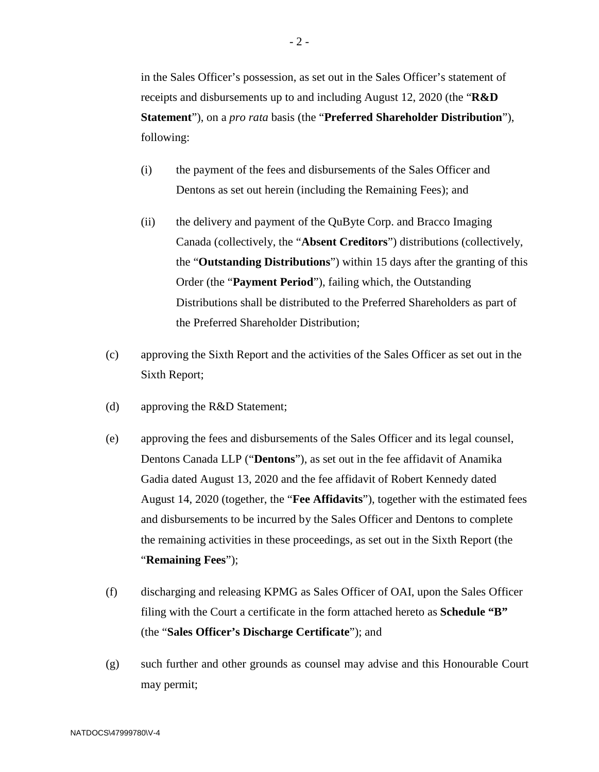in the Sales Officer's possession, as set out in the Sales Officer's statement of receipts and disbursements up to and including August 12, 2020 (the "**R&D Statement**"), on a *pro rata* basis (the "**Preferred Shareholder Distribution**"), following:

- (i) the payment of the fees and disbursements of the Sales Officer and Dentons as set out herein (including the Remaining Fees); and
- (ii) the delivery and payment of the QuByte Corp. and Bracco Imaging Canada (collectively, the "**Absent Creditors**") distributions (collectively, the "**Outstanding Distributions**") within 15 days after the granting of this Order (the "**Payment Period**"), failing which, the Outstanding Distributions shall be distributed to the Preferred Shareholders as part of the Preferred Shareholder Distribution;
- (c) approving the Sixth Report and the activities of the Sales Officer as set out in the Sixth Report;
- (d) approving the R&D Statement;
- (e) approving the fees and disbursements of the Sales Officer and its legal counsel, Dentons Canada LLP ("**Dentons**"), as set out in the fee affidavit of Anamika Gadia dated August 13, 2020 and the fee affidavit of Robert Kennedy dated August 14, 2020 (together, the "**Fee Affidavits**"), together with the estimated fees and disbursements to be incurred by the Sales Officer and Dentons to complete the remaining activities in these proceedings, as set out in the Sixth Report (the "**Remaining Fees**");
- (f) discharging and releasing KPMG as Sales Officer of OAI, upon the Sales Officer filing with the Court a certificate in the form attached hereto as **Schedule "B"**  (the "**Sales Officer's Discharge Certificate**"); and
- (g) such further and other grounds as counsel may advise and this Honourable Court may permit;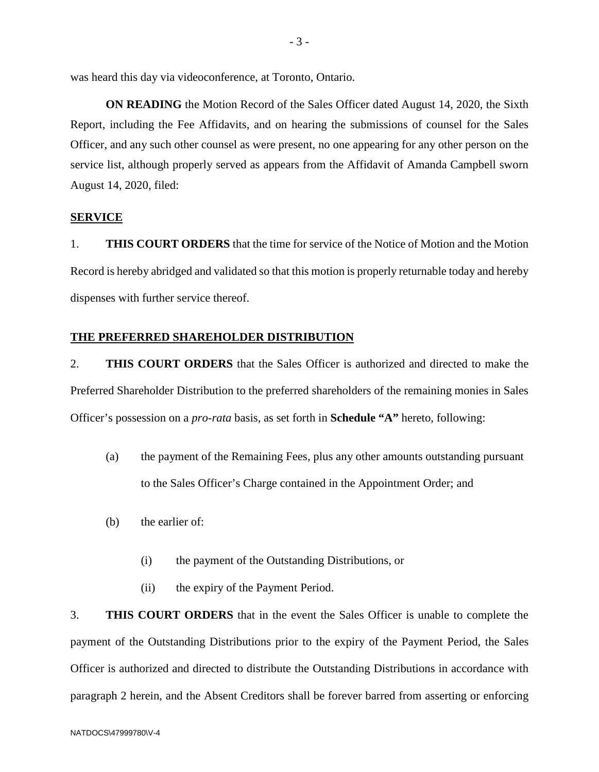was heard this day via videoconference, at Toronto, Ontario.

**ON READING** the Motion Record of the Sales Officer dated August 14, 2020, the Sixth Report, including the Fee Affidavits, and on hearing the submissions of counsel for the Sales Officer, and any such other counsel as were present, no one appearing for any other person on the service list, although properly served as appears from the Affidavit of Amanda Campbell sworn August 14, 2020, filed:

#### **SERVICE**

1. **THIS COURT ORDERS** that the time for service of the Notice of Motion and the Motion Record is hereby abridged and validated so that this motion is properly returnable today and hereby dispenses with further service thereof.

#### **THE PREFERRED SHAREHOLDER DISTRIBUTION**

2. **THIS COURT ORDERS** that the Sales Officer is authorized and directed to make the Preferred Shareholder Distribution to the preferred shareholders of the remaining monies in Sales Officer's possession on a *pro-rata* basis, as set forth in **Schedule "A"** hereto, following:

- (a) the payment of the Remaining Fees, plus any other amounts outstanding pursuant to the Sales Officer's Charge contained in the Appointment Order; and
- (b) the earlier of:
	- (i) the payment of the Outstanding Distributions, or
	- (ii) the expiry of the Payment Period.

3. **THIS COURT ORDERS** that in the event the Sales Officer is unable to complete the payment of the Outstanding Distributions prior to the expiry of the Payment Period, the Sales Officer is authorized and directed to distribute the Outstanding Distributions in accordance with paragraph 2 herein, and the Absent Creditors shall be forever barred from asserting or enforcing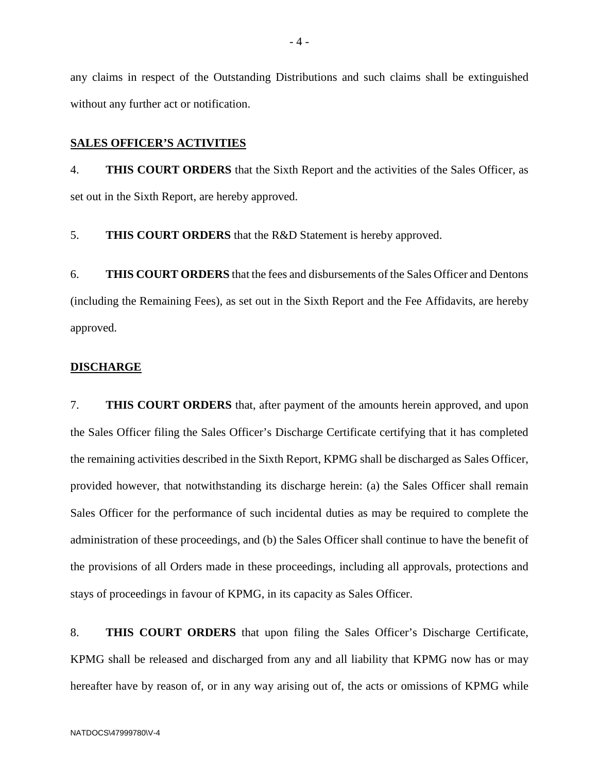any claims in respect of the Outstanding Distributions and such claims shall be extinguished without any further act or notification.

#### **SALES OFFICER'S ACTIVITIES**

4. **THIS COURT ORDERS** that the Sixth Report and the activities of the Sales Officer, as set out in the Sixth Report, are hereby approved.

5. **THIS COURT ORDERS** that the R&D Statement is hereby approved.

6. **THIS COURT ORDERS** that the fees and disbursements of the Sales Officer and Dentons (including the Remaining Fees), as set out in the Sixth Report and the Fee Affidavits, are hereby approved.

#### **DISCHARGE**

7. **THIS COURT ORDERS** that, after payment of the amounts herein approved, and upon the Sales Officer filing the Sales Officer's Discharge Certificate certifying that it has completed the remaining activities described in the Sixth Report, KPMG shall be discharged as Sales Officer, provided however, that notwithstanding its discharge herein: (a) the Sales Officer shall remain Sales Officer for the performance of such incidental duties as may be required to complete the administration of these proceedings, and (b) the Sales Officer shall continue to have the benefit of the provisions of all Orders made in these proceedings, including all approvals, protections and stays of proceedings in favour of KPMG, in its capacity as Sales Officer.

8. **THIS COURT ORDERS** that upon filing the Sales Officer's Discharge Certificate, KPMG shall be released and discharged from any and all liability that KPMG now has or may hereafter have by reason of, or in any way arising out of, the acts or omissions of KPMG while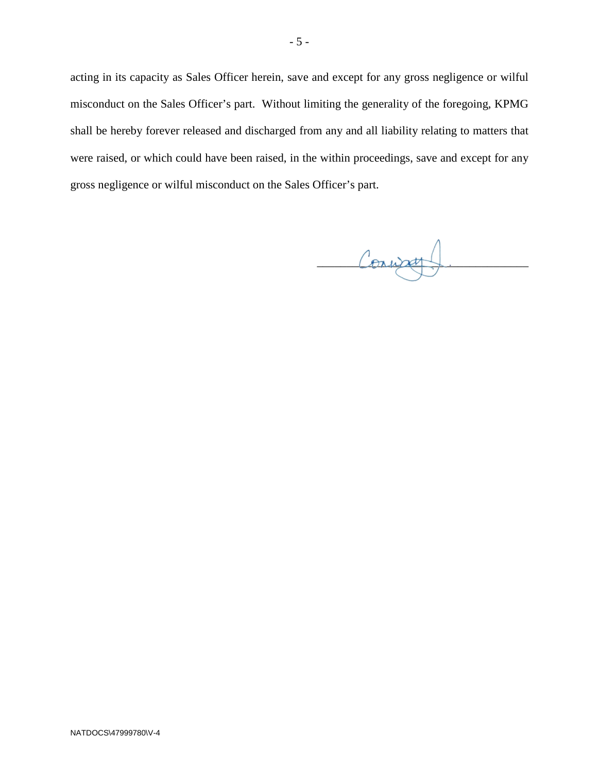acting in its capacity as Sales Officer herein, save and except for any gross negligence or wilful misconduct on the Sales Officer's part. Without limiting the generality of the foregoing, KPMG shall be hereby forever released and discharged from any and all liability relating to matters that were raised, or which could have been raised, in the within proceedings, save and except for any gross negligence or wilful misconduct on the Sales Officer's part.

Convage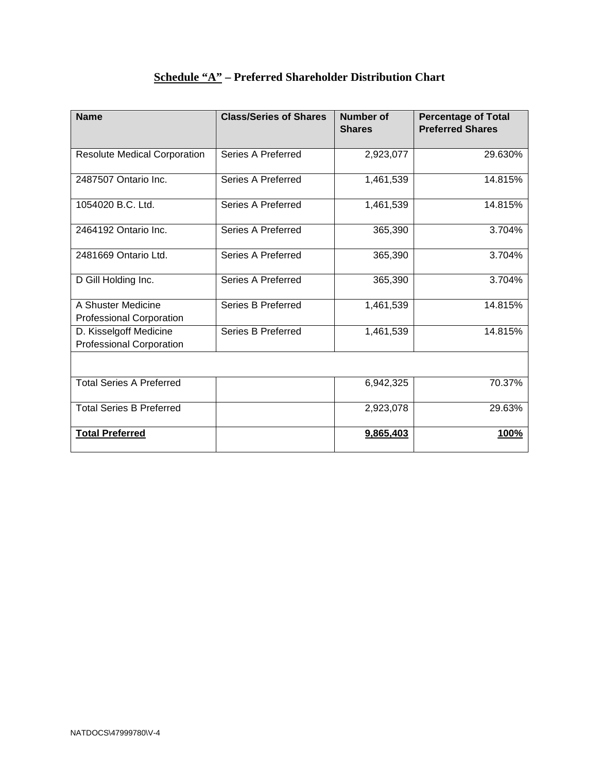| <b>Name</b>                                               | <b>Class/Series of Shares</b> | Number of<br><b>Shares</b> | <b>Percentage of Total</b><br><b>Preferred Shares</b> |
|-----------------------------------------------------------|-------------------------------|----------------------------|-------------------------------------------------------|
| <b>Resolute Medical Corporation</b>                       | Series A Preferred            | 2,923,077                  | 29.630%                                               |
| 2487507 Ontario Inc.                                      | Series A Preferred            | 1,461,539                  | 14.815%                                               |
| 1054020 B.C. Ltd.                                         | <b>Series A Preferred</b>     | 1,461,539                  | 14.815%                                               |
| 2464192 Ontario Inc.                                      | Series A Preferred            | 365,390                    | 3.704%                                                |
| 2481669 Ontario Ltd.                                      | Series A Preferred            | 365,390                    | 3.704%                                                |
| D Gill Holding Inc.                                       | Series A Preferred            | 365,390                    | 3.704%                                                |
| A Shuster Medicine<br><b>Professional Corporation</b>     | Series B Preferred            | 1,461,539                  | 14.815%                                               |
| D. Kisselgoff Medicine<br><b>Professional Corporation</b> | Series B Preferred            | 1,461,539                  | 14.815%                                               |
|                                                           |                               |                            |                                                       |
| <b>Total Series A Preferred</b>                           |                               | 6,942,325                  | 70.37%                                                |
| <b>Total Series B Preferred</b>                           |                               | 2,923,078                  | 29.63%                                                |
| <b>Total Preferred</b>                                    |                               | 9,865,403                  | 100%                                                  |

## **Schedule "A" – Preferred Shareholder Distribution Chart**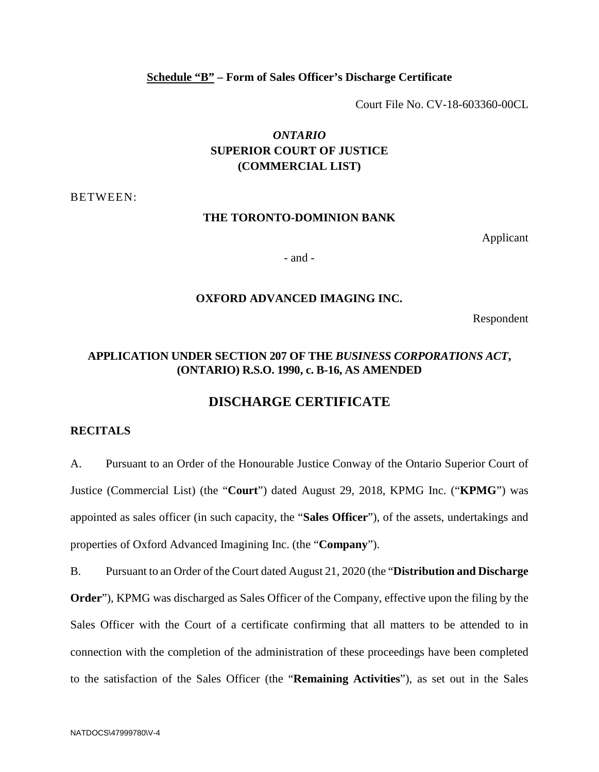#### **Schedule "B" – Form of Sales Officer's Discharge Certificate**

Court File No. CV-18-603360-00CL

## *ONTARIO*  **SUPERIOR COURT OF JUSTICE (COMMERCIAL LIST)**

BETWEEN:

#### **THE TORONTO-DOMINION BANK**

Applicant

- and -

#### **OXFORD ADVANCED IMAGING INC.**

Respondent

## **APPLICATION UNDER SECTION 207 OF THE** *BUSINESS CORPORATIONS ACT***, (ONTARIO) R.S.O. 1990, c. B-16, AS AMENDED**

## **DISCHARGE CERTIFICATE**

#### **RECITALS**

A. Pursuant to an Order of the Honourable Justice Conway of the Ontario Superior Court of Justice (Commercial List) (the "**Court**") dated August 29, 2018, KPMG Inc. ("**KPMG**") was appointed as sales officer (in such capacity, the "**Sales Officer**"), of the assets, undertakings and properties of Oxford Advanced Imagining Inc. (the "**Company**").

B. Pursuant to an Order of the Court dated August 21, 2020 (the "**Distribution and Discharge Order**"), KPMG was discharged as Sales Officer of the Company, effective upon the filing by the Sales Officer with the Court of a certificate confirming that all matters to be attended to in connection with the completion of the administration of these proceedings have been completed to the satisfaction of the Sales Officer (the "**Remaining Activities**"), as set out in the Sales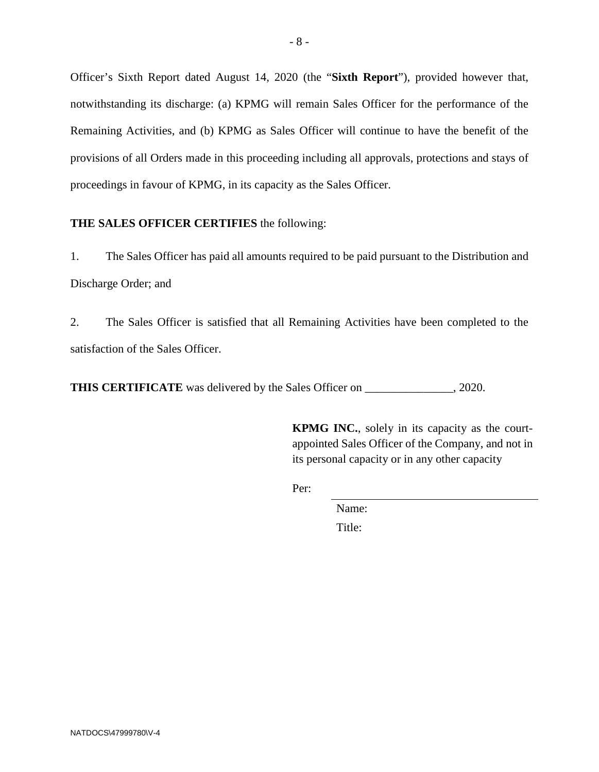Officer's Sixth Report dated August 14, 2020 (the "**Sixth Report**"), provided however that, notwithstanding its discharge: (a) KPMG will remain Sales Officer for the performance of the Remaining Activities, and (b) KPMG as Sales Officer will continue to have the benefit of the provisions of all Orders made in this proceeding including all approvals, protections and stays of proceedings in favour of KPMG, in its capacity as the Sales Officer.

## **THE SALES OFFICER CERTIFIES** the following:

1. The Sales Officer has paid all amounts required to be paid pursuant to the Distribution and Discharge Order; and

2. The Sales Officer is satisfied that all Remaining Activities have been completed to the satisfaction of the Sales Officer.

**THIS CERTIFICATE** was delivered by the Sales Officer on \_\_\_\_\_\_\_\_\_\_\_\_, 2020.

**KPMG INC.**, solely in its capacity as the courtappointed Sales Officer of the Company, and not in its personal capacity or in any other capacity

Per:

Name:

Title: